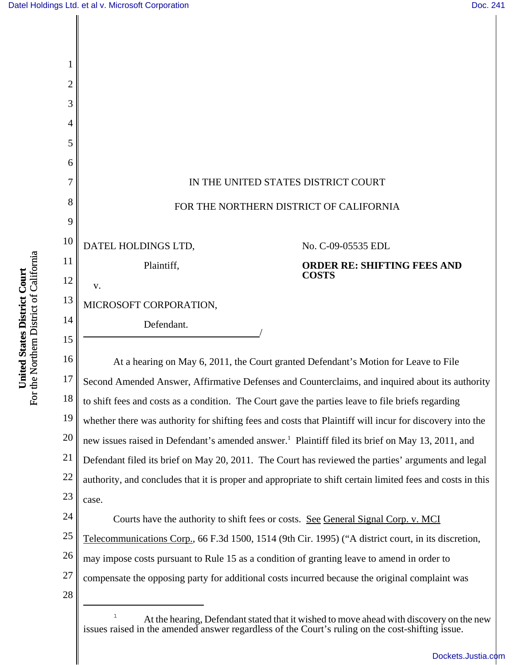

[Dockets.Justia.com](http://dockets.justia.com/)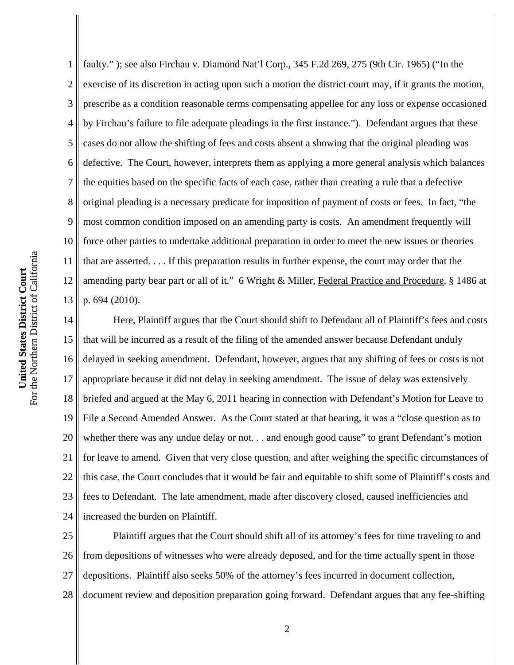1 2 3 4 5 6 7 8 9 10 11 12 13 faulty." ); <u>see also Firchau v. Diamond Nat'l Corp.</u>, 345 F.2d 269, 275 (9th Cir. 1965) ("In the exercise of its discretion in acting upon such a motion the district court may, if it grants the motion, prescribe as a condition reasonable terms compensating appellee for any loss or expense occasioned by Firchau's failure to file adequate pleadings in the first instance."). Defendant argues that these cases do not allow the shifting of fees and costs absent a showing that the original pleading was defective. The Court, however, interprets them as applying a more general analysis which balances the equities based on the specific facts of each case, rather than creating a rule that a defective original pleading is a necessary predicate for imposition of payment of costs or fees. In fact, "the most common condition imposed on an amending party is costs. An amendment frequently will force other parties to undertake additional preparation in order to meet the new issues or theories that are asserted. . . . If this preparation results in further expense, the court may order that the amending party bear part or all of it." 6 Wright & Miller, Federal Practice and Procedure, § 1486 at p. 694 (2010).

14 15 16 17 18 19 20 21 22 23 24 Here, Plaintiff argues that the Court should shift to Defendant all of Plaintiff's fees and costs that will be incurred as a result of the filing of the amended answer because Defendant unduly delayed in seeking amendment. Defendant, however, argues that any shifting of fees or costs is not appropriate because it did not delay in seeking amendment. The issue of delay was extensively briefed and argued at the May 6, 2011 hearing in connection with Defendant's Motion for Leave to File a Second Amended Answer. As the Court stated at that hearing, it was a "close question as to whether there was any undue delay or not. . . and enough good cause" to grant Defendant's motion for leave to amend. Given that very close question, and after weighing the specific circumstances of this case, the Court concludes that it would be fair and equitable to shift some of Plaintiff's costs and fees to Defendant. The late amendment, made after discovery closed, caused inefficiencies and increased the burden on Plaintiff.

25 26 27 28 Plaintiff argues that the Court should shift all of its attorney's fees for time traveling to and from depositions of witnesses who were already deposed, and for the time actually spent in those depositions. Plaintiff also seeks 50% of the attorney's fees incurred in document collection, document review and deposition preparation going forward. Defendant argues that any fee-shifting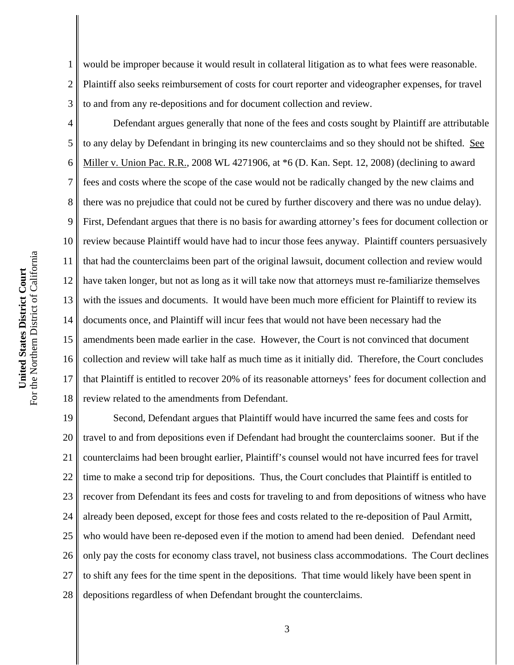1 2 3 would be improper because it would result in collateral litigation as to what fees were reasonable. Plaintiff also seeks reimbursement of costs for court reporter and videographer expenses, for travel to and from any re-depositions and for document collection and review.

4 5 6 7 8 9 10 11 12 13 14 15 16 17 18 Defendant argues generally that none of the fees and costs sought by Plaintiff are attributable to any delay by Defendant in bringing its new counterclaims and so they should not be shifted. See Miller v. Union Pac. R.R., 2008 WL 4271906, at \*6 (D. Kan. Sept. 12, 2008) (declining to award fees and costs where the scope of the case would not be radically changed by the new claims and there was no prejudice that could not be cured by further discovery and there was no undue delay). First, Defendant argues that there is no basis for awarding attorney's fees for document collection or review because Plaintiff would have had to incur those fees anyway. Plaintiff counters persuasively that had the counterclaims been part of the original lawsuit, document collection and review would have taken longer, but not as long as it will take now that attorneys must re-familiarize themselves with the issues and documents. It would have been much more efficient for Plaintiff to review its documents once, and Plaintiff will incur fees that would not have been necessary had the amendments been made earlier in the case. However, the Court is not convinced that document collection and review will take half as much time as it initially did. Therefore, the Court concludes that Plaintiff is entitled to recover 20% of its reasonable attorneys' fees for document collection and review related to the amendments from Defendant.

19 20 21 22 23 24 25 26 27 28 Second, Defendant argues that Plaintiff would have incurred the same fees and costs for travel to and from depositions even if Defendant had brought the counterclaims sooner. But if the counterclaims had been brought earlier, Plaintiff's counsel would not have incurred fees for travel time to make a second trip for depositions. Thus, the Court concludes that Plaintiff is entitled to recover from Defendant its fees and costs for traveling to and from depositions of witness who have already been deposed, except for those fees and costs related to the re-deposition of Paul Armitt, who would have been re-deposed even if the motion to amend had been denied. Defendant need only pay the costs for economy class travel, not business class accommodations. The Court declines to shift any fees for the time spent in the depositions. That time would likely have been spent in depositions regardless of when Defendant brought the counterclaims.